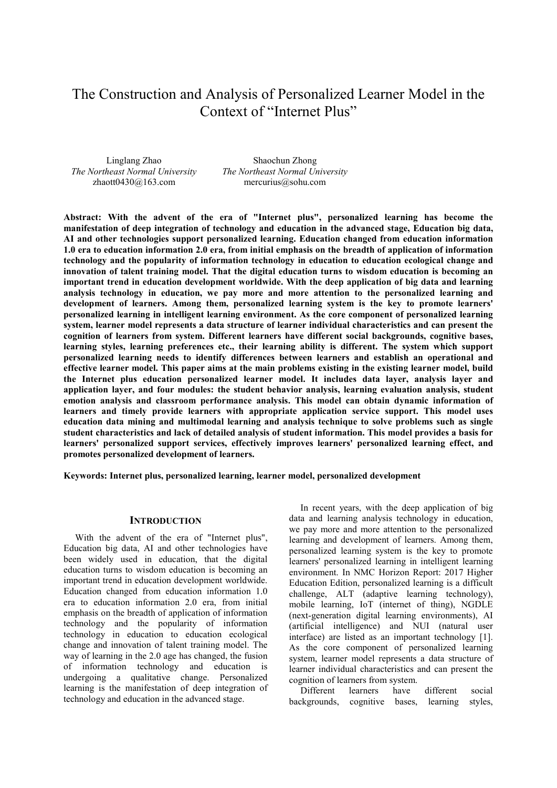# The Construction and Analysis of Personalized Learner Model in the Context of "Internet Plus"

Linglang Zhao *The Northeast Normal University* zhaott0430@163.com

Shaochun Zhong *The Northeast Normal University* mercurius@sohu.com

**Abstract: With the advent of the era of "Internet plus", personalized learning has become the manifestation of deep integration of technology and education in the advanced stage, Education big data, AI and other technologies support personalized learning. Education changed from education information 1.0 era to education information 2.0 era, from initial emphasis on the breadth of application of information technology and the popularity of information technology in education to education ecological change and innovation of talent training model. That the digital education turns to wisdom education is becoming an important trend in education development worldwide. With the deep application of big data and learning analysis technology in education, we pay more and more attention to the personalized learning and development of learners. Among them, personalized learning system is the key to promote learners' personalized learning in intelligent learning environment. As the core component of personalized learning system, learner model represents a data structure of learner individual characteristics and can present the cognition of learners from system. Different learners have different social backgrounds, cognitive bases, learning styles, learning preferences etc., their learning ability is different. The system which support personalized learning needs to identify differences between learners and establish an operational and effective learner model. This paper aims at the main problems existing in the existing learner model, build the Internet plus education personalized learner model. It includes data layer, analysis layer and application layer, and four modules: the student behavior analysis, learning evaluation analysis, student emotion analysis and classroom performance analysis. This model can obtain dynamic information of learners and timely provide learners with appropriate application service support. This model uses education data mining and multimodal learning and analysis technique to solve problems such as single student characteristics and lack of detailed analysis of student information. This model provides a basis for learners' personalized support services, effectively improves learners' personalized learning effect, and promotes personalized development of learners.** 

**Keywords: Internet plus, personalized learning, learner model, personalized development** 

#### **INTRODUCTION**

With the advent of the era of "Internet plus", Education big data, AI and other technologies have been widely used in education, that the digital education turns to wisdom education is becoming an important trend in education development worldwide. Education changed from education information 1.0 era to education information 2.0 era, from initial emphasis on the breadth of application of information technology and the popularity of information technology in education to education ecological change and innovation of talent training model. The way of learning in the 2.0 age has changed, the fusion of information technology and education is undergoing a qualitative change. Personalized learning is the manifestation of deep integration of technology and education in the advanced stage.

In recent years, with the deep application of big data and learning analysis technology in education, we pay more and more attention to the personalized learning and development of learners. Among them, personalized learning system is the key to promote learners' personalized learning in intelligent learning environment. In NMC Horizon Report: 2017 Higher Education Edition, personalized learning is a difficult challenge, ALT (adaptive learning technology), mobile learning, IoT (internet of thing), NGDLE (next-generation digital learning environments), AI (artificial intelligence) and NUI (natural user interface) are listed as an important technology [1]. As the core component of personalized learning system, learner model represents a data structure of learner individual characteristics and can present the cognition of learners from system.

Different learners have different social backgrounds, cognitive bases, learning styles,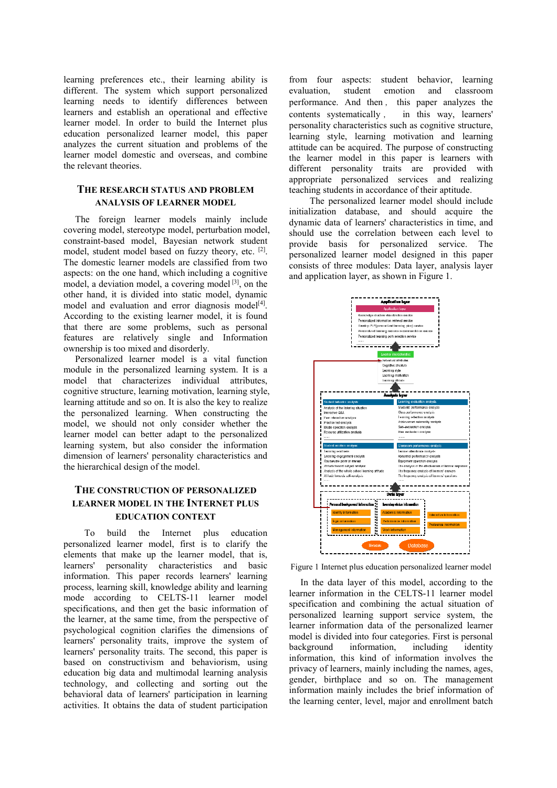learning preferences etc., their learning ability is different. The system which support personalized learning needs to identify differences between learners and establish an operational and effective learner model. In order to build the Internet plus education personalized learner model, this paper analyzes the current situation and problems of the learner model domestic and overseas, and combine the relevant theories.

## **THE RESEARCH STATUS AND PROBLEM ANALYSIS OF LEARNER MODEL**

The foreign learner models mainly include covering model, stereotype model, perturbation model, constraint-based model, Bayesian network student model, student model based on fuzzy theory, etc. <sup>[2]</sup>. The domestic learner models are classified from two aspects: on the one hand, which including a cognitive model, a deviation model, a covering model [3], on the other hand, it is divided into static model, dynamic model and evaluation and error diagnosis model<sup>[4]</sup>. According to the existing learner model, it is found that there are some problems, such as personal features are relatively single and Information ownership is too mixed and disorderly.

Personalized learner model is a vital function module in the personalized learning system. It is a model that characterizes individual attributes, cognitive structure, learning motivation, learning style, learning attitude and so on. It is also the key to realize the personalized learning. When constructing the model, we should not only consider whether the learner model can better adapt to the personalized learning system, but also consider the information dimension of learners' personality characteristics and the hierarchical design of the model.

# **THE CONSTRUCTION OF PERSONALIZED LEARNER MODEL IN THE INTERNET PLUS EDUCATION CONTEXT**

 To build the Internet plus education personalized learner model, first is to clarify the elements that make up the learner model, that is, learners' personality characteristics and basic information. This paper records learners' learning process, learning skill, knowledge ability and learning mode according to CELTS-11 learner model specifications, and then get the basic information of the learner, at the same time, from the perspective of psychological cognition clarifies the dimensions of learners' personality traits, improve the system of learners' personality traits. The second, this paper is based on constructivism and behaviorism, using education big data and multimodal learning analysis technology, and collecting and sorting out the behavioral data of learners' participation in learning activities. It obtains the data of student participation

from four aspects: student behavior, learning<br>evaluation, student emotion and classroom emotion and performance. And then , this paper analyzes the contents systematically , in this way, learners' personality characteristics such as cognitive structure, learning style, learning motivation and learning attitude can be acquired. The purpose of constructing the learner model in this paper is learners with different personality traits are provided with appropriate personalized services and realizing teaching students in accordance of their aptitude.

 The personalized learner model should include initialization database, and should acquire the dynamic data of learners' characteristics in time, and should use the correlation between each level to provide basis for personalized service. The personalized learner model designed in this paper consists of three modules: Data layer, analysis layer and application layer, as shown in Figure 1.



Figure 1 Internet plus education personalized learner model

In the data layer of this model, according to the learner information in the CELTS-11 learner model specification and combining the actual situation of personalized learning support service system, the learner information data of the personalized learner model is divided into four categories. First is personal<br>background information, including identity background information, including identity information, this kind of information involves the privacy of learners, mainly including the names, ages, gender, birthplace and so on. The management information mainly includes the brief information of the learning center, level, major and enrollment batch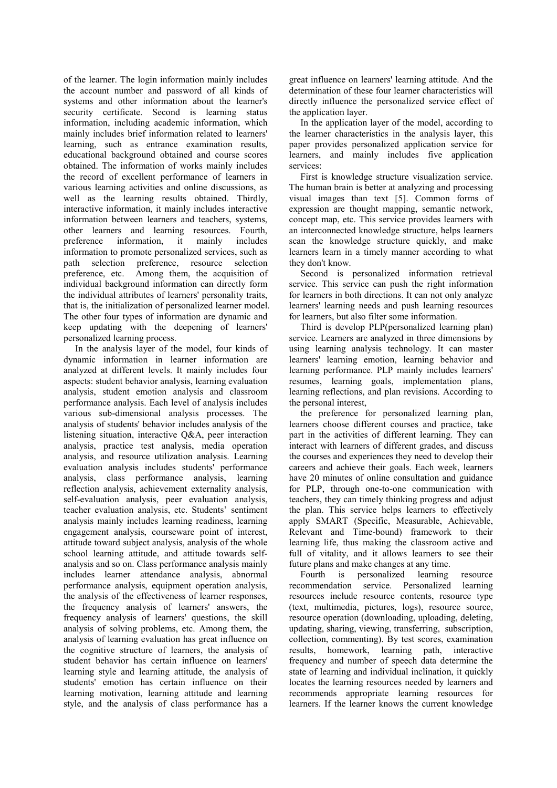of the learner. The login information mainly includes the account number and password of all kinds of systems and other information about the learner's security certificate. Second is learning status information, including academic information, which mainly includes brief information related to learners' learning, such as entrance examination results, educational background obtained and course scores obtained. The information of works mainly includes the record of excellent performance of learners in various learning activities and online discussions, as well as the learning results obtained. Thirdly, interactive information, it mainly includes interactive information between learners and teachers, systems, other learners and learning resources. Fourth, preference information, it mainly includes information to promote personalized services, such as path selection preference, resource selection preference, etc. Among them, the acquisition of individual background information can directly form the individual attributes of learners' personality traits, that is, the initialization of personalized learner model. The other four types of information are dynamic and keep updating with the deepening of learners' personalized learning process.

In the analysis layer of the model, four kinds of dynamic information in learner information are analyzed at different levels. It mainly includes four aspects: student behavior analysis, learning evaluation analysis, student emotion analysis and classroom performance analysis. Each level of analysis includes various sub-dimensional analysis processes. The analysis of students' behavior includes analysis of the listening situation, interactive Q&A, peer interaction analysis, practice test analysis, media operation analysis, and resource utilization analysis. Learning evaluation analysis includes students' performance analysis, class performance analysis, learning reflection analysis, achievement externality analysis, self-evaluation analysis, peer evaluation analysis, teacher evaluation analysis, etc. Students' sentiment analysis mainly includes learning readiness, learning engagement analysis, courseware point of interest, attitude toward subject analysis, analysis of the whole school learning attitude, and attitude towards selfanalysis and so on. Class performance analysis mainly includes learner attendance analysis, abnormal performance analysis, equipment operation analysis, the analysis of the effectiveness of learner responses, the frequency analysis of learners' answers, the frequency analysis of learners' questions, the skill analysis of solving problems, etc. Among them, the analysis of learning evaluation has great influence on the cognitive structure of learners, the analysis of student behavior has certain influence on learners' learning style and learning attitude, the analysis of students' emotion has certain influence on their learning motivation, learning attitude and learning style, and the analysis of class performance has a

great influence on learners' learning attitude. And the determination of these four learner characteristics will directly influence the personalized service effect of the application layer.

In the application layer of the model, according to the learner characteristics in the analysis layer, this paper provides personalized application service for learners, and mainly includes five application services:

First is knowledge structure visualization service. The human brain is better at analyzing and processing visual images than text [5]. Common forms of expression are thought mapping, semantic network, concept map, etc. This service provides learners with an interconnected knowledge structure, helps learners scan the knowledge structure quickly, and make learners learn in a timely manner according to what they don't know.

Second is personalized information retrieval service. This service can push the right information for learners in both directions. It can not only analyze learners' learning needs and push learning resources for learners, but also filter some information.

Third is develop PLP(personalized learning plan) service. Learners are analyzed in three dimensions by using learning analysis technology. It can master learners' learning emotion, learning behavior and learning performance. PLP mainly includes learners' resumes, learning goals, implementation plans, learning reflections, and plan revisions. According to the personal interest,

the preference for personalized learning plan, learners choose different courses and practice, take part in the activities of different learning. They can interact with learners of different grades, and discuss the courses and experiences they need to develop their careers and achieve their goals. Each week, learners have 20 minutes of online consultation and guidance for PLP, through one-to-one communication with teachers, they can timely thinking progress and adjust the plan. This service helps learners to effectively apply SMART (Specific, Measurable, Achievable, Relevant and Time-bound) framework to their learning life, thus making the classroom active and full of vitality, and it allows learners to see their future plans and make changes at any time.

Fourth is personalized learning resource recommendation service. Personalized learning resources include resource contents, resource type (text, multimedia, pictures, logs), resource source, resource operation (downloading, uploading, deleting, updating, sharing, viewing, transferring, subscription, collection, commenting). By test scores, examination results, homework, learning path, interactive frequency and number of speech data determine the state of learning and individual inclination, it quickly locates the learning resources needed by learners and recommends appropriate learning resources for learners. If the learner knows the current knowledge